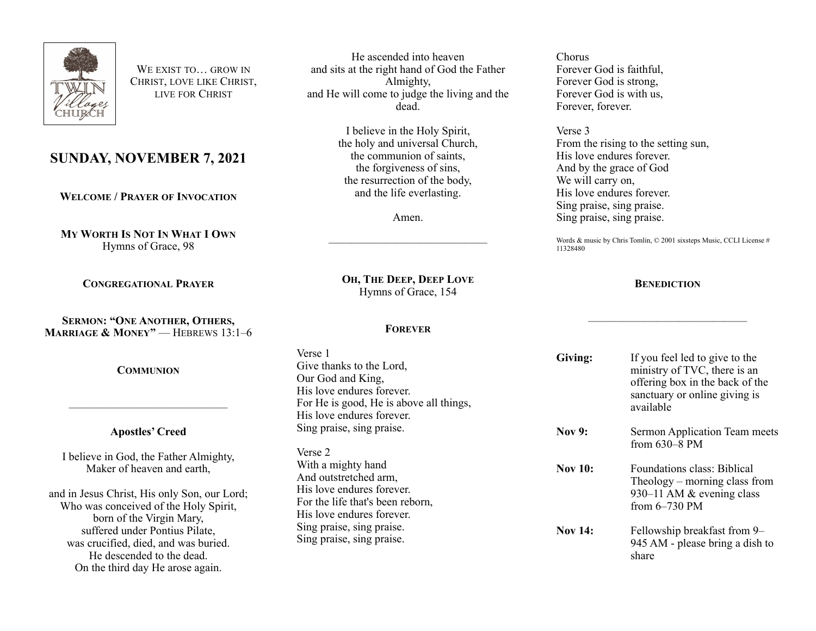

WE EXIST TO… GROW IN CHRIST, LOVE LIKE CHRIST, LIVE FOR CHRIST

# **SUNDAY, NOVEMBER 7, 2021**

**WELCOME / PRAYER OF INVOCATION**

**MY WORTH IS NOT IN WHAT I OWN** Hymns of Grace, 98

**CONGREGATIONAL PRAYER**

**SERMON: "ONE ANOTHER, OTHERS, MARRIAGE & MONEY"** - HEBREWS 13:1-6

**COMMUNION**

## **Apostles' Creed**

——————————————

I believe in God, the Father Almighty, Maker of heaven and earth,

and in Jesus Christ, His only Son, our Lord; Who was conceived of the Holy Spirit, born of the Virgin Mary, suffered under Pontius Pilate, was crucified, died, and was buried. He descended to the dead. On the third day He arose again.

He ascended into heaven and sits at the right hand of God the Father Almighty, and He will come to judge the living and the dead.

> I believe in the Holy Spirit, the holy and universal Church, the communion of saints, the forgiveness of sins, the resurrection of the body, and the life everlasting.

> > Amen.

——————————————

Chorus Forever God is faithful, Forever God is strong, Forever God is with us, Forever, forever.

Verse 3 From the rising to the setting sun, His love endures forever. And by the grace of God We will carry on. His love endures forever. Sing praise, sing praise. Sing praise, sing praise.

Words & music by Chris Tomlin, © 2001 sixsteps Music, CCLI License # 11328480

**BENEDICTION**

——————————————

# **OH, THE DEEP, DEEP LOVE** Hymns of Grace, 154

#### **FOREVER**

| Verse 1<br>Give thanks to the Lord,<br>Our God and King,<br>His love endures forever.<br>For He is good, He is above all things,<br>His love endures forever.                                       | Giving:        | If you feel led to give to the<br>ministry of TVC, there is an<br>offering box in the back of the<br>sanctuary or online giving is<br>available |
|-----------------------------------------------------------------------------------------------------------------------------------------------------------------------------------------------------|----------------|-------------------------------------------------------------------------------------------------------------------------------------------------|
| Sing praise, sing praise.<br>Verse 2                                                                                                                                                                | <b>Nov 9:</b>  | Sermon Application Team meets<br>from 630-8 PM                                                                                                  |
| With a mighty hand<br>And outstretched arm,<br>His love endures forever.<br>For the life that's been reborn,<br>His love endures forever.<br>Sing praise, sing praise.<br>Sing praise, sing praise. | <b>Nov 10:</b> | Foundations class: Biblical<br>Theology – morning class from<br>930–11 AM & evening class<br>from $6-730$ PM                                    |
|                                                                                                                                                                                                     | <b>Nov 14:</b> | Fellowship breakfast from 9–<br>945 AM - please bring a dish to<br>share                                                                        |